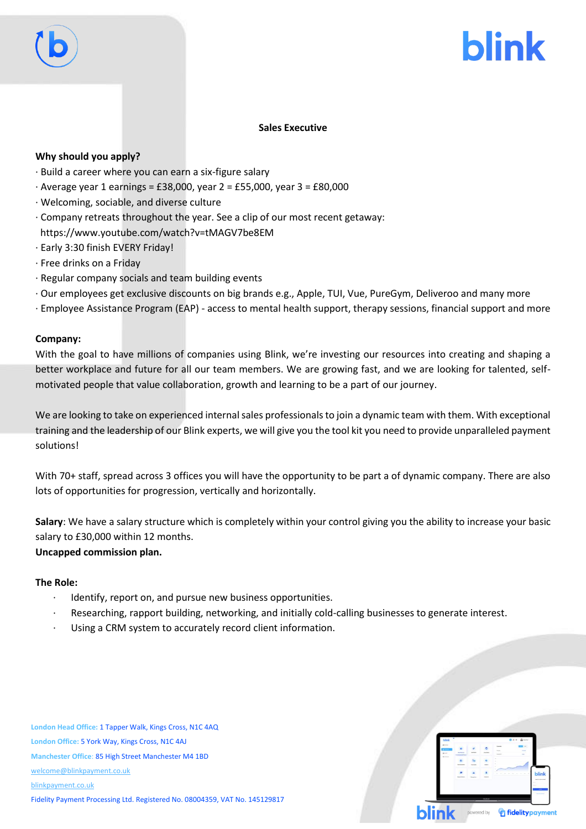



# **Sales Executive**

# **Why should you apply?**

- · Build a career where you can earn a six-figure salary
- · Average year 1 earnings = £38,000, year 2 = £55,000, year 3 = £80,000
- · Welcoming, sociable, and diverse culture
- · Company retreats throughout the year. See a clip of our most recent getaway: https://www.youtube.com/watch?v=tMAGV7be8EM
- · Early 3:30 finish EVERY Friday!
- · Free drinks on a Friday
- · Regular company socials and team building events
- · Our employees get exclusive discounts on big brands e.g., Apple, TUI, Vue, PureGym, Deliveroo and many more
- · Employee Assistance Program (EAP) access to mental health support, therapy sessions, financial support and more

### **Company:**

With the goal to have millions of companies using Blink, we're investing our resources into creating and shaping a better workplace and future for all our team members. We are growing fast, and we are looking for talented, selfmotivated people that value collaboration, growth and learning to be a part of our journey.

We are looking to take on experienced internal sales professionals to join a dynamic team with them. With exceptional training and the leadership of our Blink experts, we will give you the tool kit you need to provide unparalleled payment solutions!

With 70+ staff, spread across 3 offices you will have the opportunity to be part a of dynamic company. There are also lots of opportunities for progression, vertically and horizontally.

**Salary**: We have a salary structure which is completely within your control giving you the ability to increase your basic salary to £30,000 within 12 months. **Uncapped commission plan.** 

### **The Role:**

- Identify, report on, and pursue new business opportunities.
- Researching, rapport building, networking, and initially cold-calling businesses to generate interest.
- Using a CRM system to accurately record client information.

**London Head Office:** 1 Tapper Walk, Kings Cross, N1C 4AQ **London Office:** 5 York Way, Kings Cross, N1C 4AJ **Manchester Office**: 85 High Street Manchester M4 1BD [welcome@blinkpayment.co.uk](mailto:welcome@blinkpayment.co.uk) [blinkpayment.co.uk](http://www.blinkpayment.co.uk/) Fidelity Payment Processing Ltd. Registered No. 08004359, VAT No. 145129817

|              | blink *                              |                                                                                                                                                                                                                                                                                                                                                                                                                                                                            |                 | $0.01$ . $2.1$ |               |                        |                                  |
|--------------|--------------------------------------|----------------------------------------------------------------------------------------------------------------------------------------------------------------------------------------------------------------------------------------------------------------------------------------------------------------------------------------------------------------------------------------------------------------------------------------------------------------------------|-----------------|----------------|---------------|------------------------|----------------------------------|
|              | $\overline{\phantom{a}}$<br>$\cdots$ | $\frac{1}{2} \left( \frac{1}{2} \right) \left( \frac{1}{2} \right) \left( \frac{1}{2} \right) \left( \frac{1}{2} \right) \left( \frac{1}{2} \right) \left( \frac{1}{2} \right) \left( \frac{1}{2} \right) \left( \frac{1}{2} \right) \left( \frac{1}{2} \right) \left( \frac{1}{2} \right) \left( \frac{1}{2} \right) \left( \frac{1}{2} \right) \left( \frac{1}{2} \right) \left( \frac{1}{2} \right) \left( \frac{1}{2} \right) \left( \frac{1}{2} \right) \left( \frac$ |                 | $\sim$         | <b>Daniel</b> | $\sim$<br>--<br>$\sim$ |                                  |
|              | <b>Long</b>                          |                                                                                                                                                                                                                                                                                                                                                                                                                                                                            |                 |                |               |                        |                                  |
|              |                                      |                                                                                                                                                                                                                                                                                                                                                                                                                                                                            | <b>Scoutist</b> | <b>Service</b> |               |                        | blink                            |
|              |                                      |                                                                                                                                                                                                                                                                                                                                                                                                                                                                            |                 |                |               |                        | -------                          |
|              |                                      |                                                                                                                                                                                                                                                                                                                                                                                                                                                                            |                 |                |               |                        |                                  |
| <b>blink</b> |                                      |                                                                                                                                                                                                                                                                                                                                                                                                                                                                            | powered by      |                |               |                        | <i><b>e</b></i> fidelity payment |